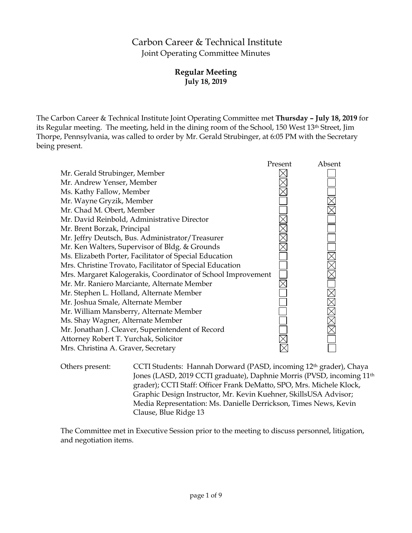# Carbon Career & Technical Institute Joint Operating Committee Minutes

# **Regular Meeting July 18, 2019**

The Carbon Career & Technical Institute Joint Operating Committee met **Thursday – July 18, 2019** for its Regular meeting. The meeting, held in the dining room of the School, 150 West 13th Street, Jim Thorpe, Pennsylvania, was called to order by Mr. Gerald Strubinger, at 6:05 PM with the Secretary being present.



Others present: CCTI Students: Hannah Dorward (PASD, incoming 12th grader), Chaya Jones (LASD, 2019 CCTI graduate), Daphnie Morris (PVSD, incoming 11th grader); CCTI Staff: Officer Frank DeMatto, SPO, Mrs. Michele Klock, Graphic Design Instructor, Mr. Kevin Kuehner, SkillsUSA Advisor; Media Representation: Ms. Danielle Derrickson, Times News, Kevin Clause, Blue Ridge 13

The Committee met in Executive Session prior to the meeting to discuss personnel, litigation, and negotiation items.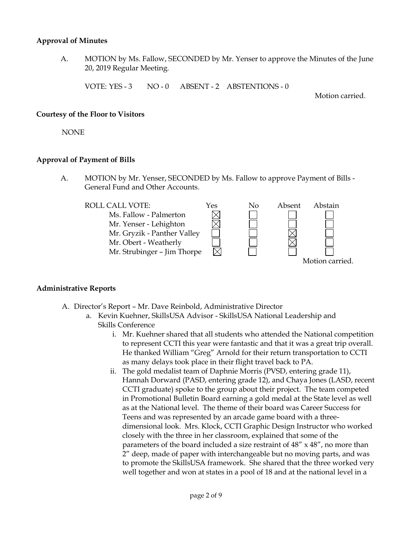### **Approval of Minutes**

A. MOTION by Ms. Fallow, SECONDED by Mr. Yenser to approve the Minutes of the June 20, 2019 Regular Meeting.

VOTE: YES - 3 NO - 0 ABSENT - 2 ABSTENTIONS - 0

Motion carried.

#### **Courtesy of the Floor to Visitors**

NONE

#### **Approval of Payment of Bills**

A. MOTION by Mr. Yenser, SECONDED by Ms. Fallow to approve Payment of Bills - General Fund and Other Accounts.



# **Administrative Reports**

- A. Director's Report Mr. Dave Reinbold, Administrative Director
	- a. Kevin Kuehner, SkillsUSA Advisor SkillsUSA National Leadership and Skills Conference
		- i. Mr. Kuehner shared that all students who attended the National competition to represent CCTI this year were fantastic and that it was a great trip overall. He thanked William "Greg" Arnold for their return transportation to CCTI as many delays took place in their flight travel back to PA.
		- ii. The gold medalist team of Daphnie Morris (PVSD, entering grade 11), Hannah Dorward (PASD, entering grade 12), and Chaya Jones (LASD, recent CCTI graduate) spoke to the group about their project. The team competed in Promotional Bulletin Board earning a gold medal at the State level as well as at the National level. The theme of their board was Career Success for Teens and was represented by an arcade game board with a threedimensional look. Mrs. Klock, CCTI Graphic Design Instructor who worked closely with the three in her classroom, explained that some of the parameters of the board included a size restraint of 48" x 48", no more than 2" deep, made of paper with interchangeable but no moving parts, and was to promote the SkillsUSA framework. She shared that the three worked very well together and won at states in a pool of 18 and at the national level in a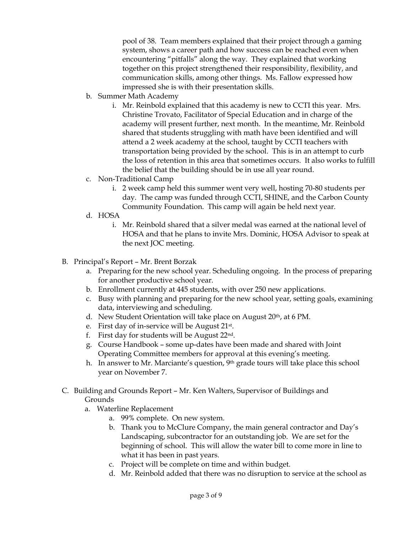pool of 38. Team members explained that their project through a gaming system, shows a career path and how success can be reached even when encountering "pitfalls" along the way. They explained that working together on this project strengthened their responsibility, flexibility, and communication skills, among other things. Ms. Fallow expressed how impressed she is with their presentation skills.

- b. Summer Math Academy
	- i. Mr. Reinbold explained that this academy is new to CCTI this year. Mrs. Christine Trovato, Facilitator of Special Education and in charge of the academy will present further, next month. In the meantime, Mr. Reinbold shared that students struggling with math have been identified and will attend a 2 week academy at the school, taught by CCTI teachers with transportation being provided by the school. This is in an attempt to curb the loss of retention in this area that sometimes occurs. It also works to fulfill the belief that the building should be in use all year round.
- c. Non-Traditional Camp
	- i. 2 week camp held this summer went very well, hosting 70-80 students per day. The camp was funded through CCTI, SHINE, and the Carbon County Community Foundation. This camp will again be held next year.
- d. HOSA
	- i. Mr. Reinbold shared that a silver medal was earned at the national level of HOSA and that he plans to invite Mrs. Dominic, HOSA Advisor to speak at the next JOC meeting.
- B. Principal's Report Mr. Brent Borzak
	- a. Preparing for the new school year. Scheduling ongoing. In the process of preparing for another productive school year.
	- b. Enrollment currently at 445 students, with over 250 new applications.
	- c. Busy with planning and preparing for the new school year, setting goals, examining data, interviewing and scheduling.
	- d. New Student Orientation will take place on August 20<sup>th</sup>, at 6 PM.
	- e. First day of in-service will be August 21st.
	- f. First day for students will be August 22nd.
	- g. Course Handbook some up-dates have been made and shared with Joint Operating Committee members for approval at this evening's meeting.
	- h. In answer to Mr. Marciante's question, 9th grade tours will take place this school year on November 7.

# C. Building and Grounds Report – Mr. Ken Walters, Supervisor of Buildings and Grounds

- a. Waterline Replacement
	- a. 99% complete. On new system.
	- b. Thank you to McClure Company, the main general contractor and Day's Landscaping, subcontractor for an outstanding job. We are set for the beginning of school. This will allow the water bill to come more in line to what it has been in past years.
	- c. Project will be complete on time and within budget.
	- d. Mr. Reinbold added that there was no disruption to service at the school as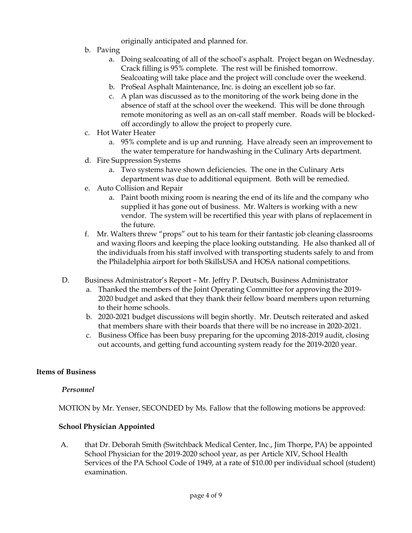originally anticipated and planned for.

- b. Paving
	- a. Doing sealcoating of all of the school's asphalt. Project began on Wednesday. Crack filling is 95% complete. The rest will be finished tomorrow. Sealcoating will take place and the project will conclude over the weekend.
	- b. ProSeal Asphalt Maintenance, Inc. is doing an excellent job so far.
	- c. A plan was discussed as to the monitoring of the work being done in the absence of staff at the school over the weekend. This will be done through remote monitoring as well as an on-call staff member. Roads will be blockedoff accordingly to allow the project to properly cure.
- c. Hot Water Heater
	- a. 95% complete and is up and running. Have already seen an improvement to the water temperature for handwashing in the Culinary Arts department.
- d. Fire Suppression Systems
	- a. Two systems have shown deficiencies. The one in the Culinary Arts department was due to additional equipment. Both will be remedied.
- e. Auto Collision and Repair
	- a. Paint booth mixing room is nearing the end of its life and the company who supplied it has gone out of business. Mr. Walters is working with a new vendor. The system will be recertified this year with plans of replacement in the future.
- f. Mr. Walters threw "props" out to his team for their fantastic job cleaning classrooms and waxing floors and keeping the place looking outstanding. He also thanked all of the individuals from his staff involved with transporting students safely to and from the Philadelphia airport for both SkillsUSA and HOSA national competitions.
- D. Business Administrator's Report Mr. Jeffry P. Deutsch, Business Administrator
	- a. Thanked the members of the Joint Operating Committee for approving the 2019- 2020 budget and asked that they thank their fellow board members upon returning to their home schools.
	- b. 2020-2021 budget discussions will begin shortly. Mr. Deutsch reiterated and asked that members share with their boards that there will be no increase in 2020-2021.
	- c. Business Office has been busy preparing for the upcoming 2018-2019 audit, closing out accounts, and getting fund accounting system ready for the 2019-2020 year.

# **Items of Business**

# *Personnel*

MOTION by Mr. Yenser, SECONDED by Ms. Fallow that the following motions be approved:

# **School Physician Appointed**

A. that Dr. Deborah Smith (Switchback Medical Center, Inc., Jim Thorpe, PA) be appointed School Physician for the 2019-2020 school year, as per Article XIV, School Health Services of the PA School Code of 1949, at a rate of \$10.00 per individual school (student) examination.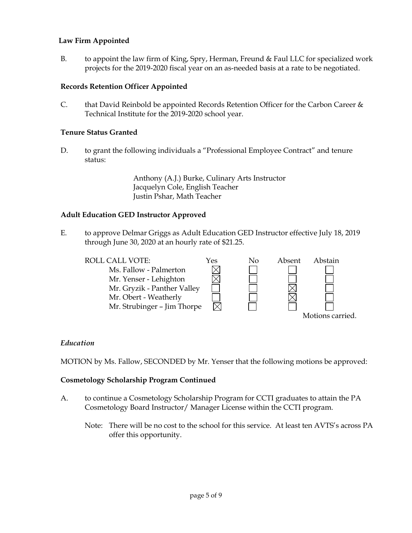# **Law Firm Appointed**

B. to appoint the law firm of King, Spry, Herman, Freund & Faul LLC for specialized work projects for the 2019-2020 fiscal year on an as-needed basis at a rate to be negotiated.

# **Records Retention Officer Appointed**

C. that David Reinbold be appointed Records Retention Officer for the Carbon Career  $\&$ Technical Institute for the 2019-2020 school year.

# **Tenure Status Granted**

D. to grant the following individuals a "Professional Employee Contract" and tenure status:

> Anthony (A.J.) Burke, Culinary Arts Instructor Jacquelyn Cole, English Teacher Justin Pshar, Math Teacher

#### **Adult Education GED Instructor Approved**

E. to approve Delmar Griggs as Adult Education GED Instructor effective July 18, 2019 through June 30, 2020 at an hourly rate of \$21.25.



# *Education*

MOTION by Ms. Fallow, SECONDED by Mr. Yenser that the following motions be approved:

#### **Cosmetology Scholarship Program Continued**

- A. to continue a Cosmetology Scholarship Program for CCTI graduates to attain the PA Cosmetology Board Instructor/ Manager License within the CCTI program.
	- Note: There will be no cost to the school for this service. At least ten AVTS's across PA offer this opportunity.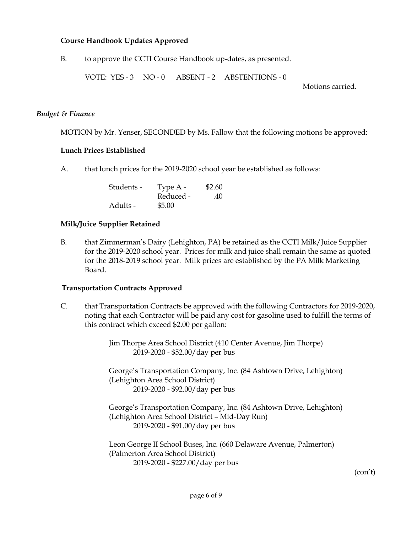# **Course Handbook Updates Approved**

B. to approve the CCTI Course Handbook up-dates, as presented.

VOTE: YES - 3 NO - 0 ABSENT - 2 ABSTENTIONS - 0

Motions carried.

### *Budget & Finance*

MOTION by Mr. Yenser, SECONDED by Ms. Fallow that the following motions be approved:

#### **Lunch Prices Established**

A. that lunch prices for the 2019-2020 school year be established as follows:

| Students - | Type A -  | \$2.60 |
|------------|-----------|--------|
|            | Reduced - | .40    |
| Adults -   | \$5.00    |        |

# **Milk/Juice Supplier Retained**

B. that Zimmerman's Dairy (Lehighton, PA) be retained as the CCTI Milk/Juice Supplier for the 2019-2020 school year. Prices for milk and juice shall remain the same as quoted for the 2018-2019 school year. Milk prices are established by the PA Milk Marketing Board.

# **Transportation Contracts Approved**

C. that Transportation Contracts be approved with the following Contractors for 2019-2020, noting that each Contractor will be paid any cost for gasoline used to fulfill the terms of this contract which exceed \$2.00 per gallon:

> Jim Thorpe Area School District (410 Center Avenue, Jim Thorpe) 2019-2020 - \$52.00/day per bus

George's Transportation Company, Inc. (84 Ashtown Drive, Lehighton) (Lehighton Area School District) 2019-2020 - \$92.00/day per bus

George's Transportation Company, Inc. (84 Ashtown Drive, Lehighton) (Lehighton Area School District – Mid-Day Run) 2019-2020 - \$91.00/day per bus

Leon George II School Buses, Inc. (660 Delaware Avenue, Palmerton) (Palmerton Area School District) 2019-2020 - \$227.00/day per bus

(con't)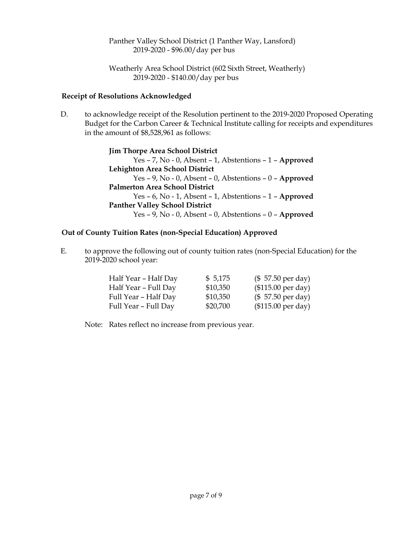Panther Valley School District (1 Panther Way, Lansford) 2019-2020 - \$96.00/day per bus

Weatherly Area School District (602 Sixth Street, Weatherly) 2019-2020 - \$140.00/day per bus

# **Receipt of Resolutions Acknowledged**

D. to acknowledge receipt of the Resolution pertinent to the 2019-2020 Proposed Operating Budget for the Carbon Career & Technical Institute calling for receipts and expenditures in the amount of \$8,528,961 as follows:

> **Jim Thorpe Area School District** Yes – 7, No - 0, Absent – 1, Abstentions – 1 – **Approved Lehighton Area School District** Yes – 9, No - 0, Absent – 0, Abstentions – 0 – **Approved Palmerton Area School District** Yes – 6, No - 1, Absent – 1, Abstentions – 1 – **Approved Panther Valley School District** Yes – 9, No - 0, Absent – 0, Abstentions – 0 – **Approved**

# **Out of County Tuition Rates (non-Special Education) Approved**

E. to approve the following out of county tuition rates (non-Special Education) for the 2019-2020 school year:

| Half Year - Half Day | \$5,175  | $($57.50 \text{ per day})$  |
|----------------------|----------|-----------------------------|
| Half Year - Full Day | \$10,350 | $($115.00 \text{ per day})$ |
| Full Year - Half Day | \$10,350 | $($57.50 \text{ per day})$  |
| Full Year - Full Day | \$20,700 | (\$115.00 per day)          |

Note: Rates reflect no increase from previous year.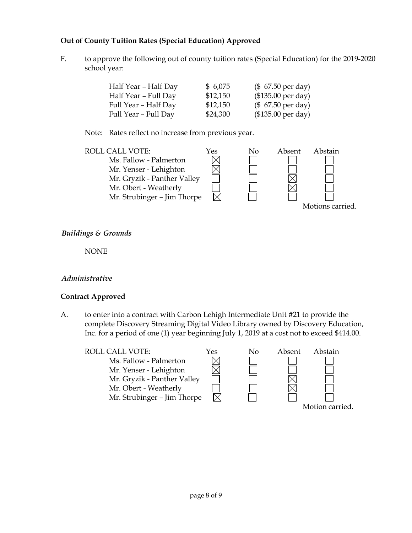# **Out of County Tuition Rates (Special Education) Approved**

F. to approve the following out of county tuition rates (Special Education) for the 2019-2020 school year:

| Half Year - Half Day | \$6,075  | $($ 67.50 \text{ per day})$ |
|----------------------|----------|-----------------------------|
| Half Year - Full Day | \$12,150 | (\$135.00 per day)          |
| Full Year - Half Day | \$12,150 | $($ 67.50 \text{ per day})$ |
| Full Year – Full Day | \$24,300 | $($135.00 \text{ per day})$ |

Note: Rates reflect no increase from previous year.



# *Buildings & Grounds*

NONE

# *Administrative*

# **Contract Approved**

A. to enter into a contract with Carbon Lehigh Intermediate Unit #21 to provide the complete Discovery Streaming Digital Video Library owned by Discovery Education, Inc. for a period of one (1) year beginning July 1, 2019 at a cost not to exceed \$414.00.